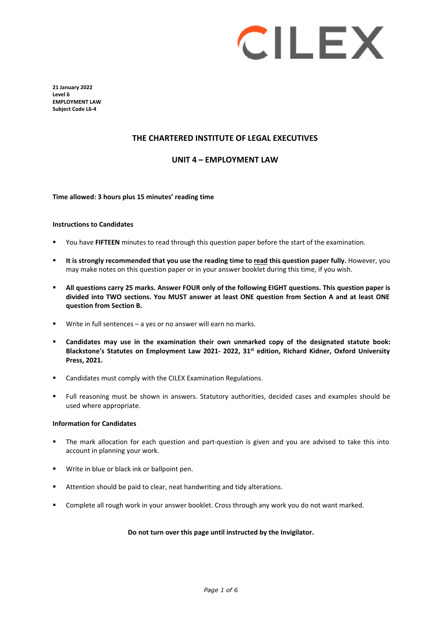

**21 January 2022 Level 6 EMPLOYMENT LAW Subject Code L6-4** 

#### **THE CHARTERED INSTITUTE OF LEGAL EXECUTIVES**

#### **UNIT 4 – EMPLOYMENT LAW**

#### **Time allowed: 3 hours plus 15 minutes' reading time**

#### **Instructions to Candidates**

- You have **FIFTEEN** minutes to read through this question paper before the start of the examination.
- **It is strongly recommended that you use the reading time to read this question paper fully.** However, you may make notes on this question paper or in your answer booklet during this time, if you wish.
- **All questions carry 25 marks. Answer FOUR only of the following EIGHT questions. This question paper is divided into TWO sections. You MUST answer at least ONE question from Section A and at least ONE question from Section B.**
- Write in full sentences a yes or no answer will earn no marks.
- **Candidates may use in the examination their own unmarked copy of the designated statute book: Blackstone's Statutes on Employment Law 2021- 2022, 31st edition, Richard Kidner, Oxford University Press, 2021.**
- Candidates must comply with the CILEX Examination Regulations.
- Full reasoning must be shown in answers. Statutory authorities, decided cases and examples should be used where appropriate.

#### **Information for Candidates**

- The mark allocation for each question and part-question is given and you are advised to take this into account in planning your work.
- **Write in blue or black ink or ballpoint pen.**
- Attention should be paid to clear, neat handwriting and tidy alterations.
- Complete all rough work in your answer booklet. Cross through any work you do not want marked.

#### **Do not turn over this page until instructed by the Invigilator.**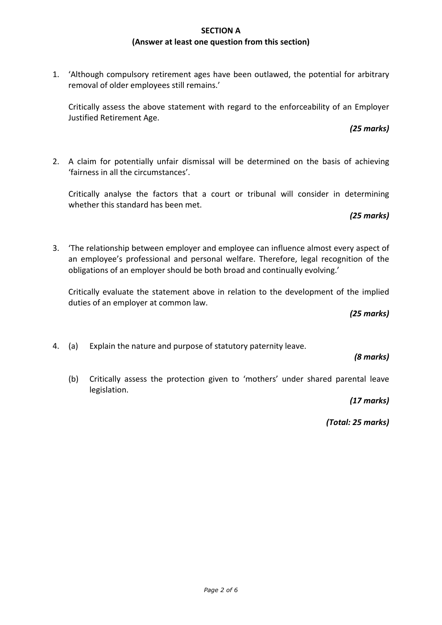## **SECTION A (Answer at least one question from this section)**

1. 'Although compulsory retirement ages have been outlawed, the potential for arbitrary removal of older employees still remains.'

Critically assess the above statement with regard to the enforceability of an Employer Justified Retirement Age.

2. A claim for potentially unfair dismissal will be determined on the basis of achieving 'fairness in all the circumstances'.

Critically analyse the factors that a court or tribunal will consider in determining whether this standard has been met.

*(25 marks)*

*(25 marks)* 

3. 'The relationship between employer and employee can influence almost every aspect of an employee's professional and personal welfare. Therefore, legal recognition of the obligations of an employer should be both broad and continually evolving.'

Critically evaluate the statement above in relation to the development of the implied duties of an employer at common law.

*(25 marks)*

4. (a) Explain the nature and purpose of statutory paternity leave.

*(8 marks)*

(b) Critically assess the protection given to 'mothers' under shared parental leave legislation.

*(17 marks)*

*(Total: 25 marks)*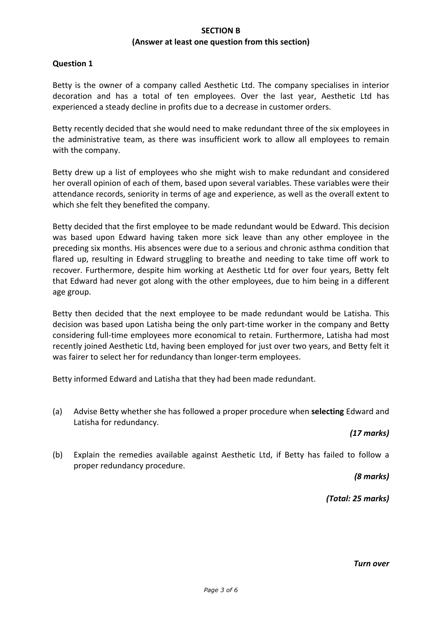### **SECTION B (Answer at least one question from this section)**

### **Question 1**

Betty is the owner of a company called Aesthetic Ltd. The company specialises in interior decoration and has a total of ten employees. Over the last year, Aesthetic Ltd has experienced a steady decline in profits due to a decrease in customer orders.

Betty recently decided that she would need to make redundant three of the six employees in the administrative team, as there was insufficient work to allow all employees to remain with the company.

Betty drew up a list of employees who she might wish to make redundant and considered her overall opinion of each of them, based upon several variables. These variables were their attendance records, seniority in terms of age and experience, as well as the overall extent to which she felt they benefited the company.

Betty decided that the first employee to be made redundant would be Edward. This decision was based upon Edward having taken more sick leave than any other employee in the preceding six months. His absences were due to a serious and chronic asthma condition that flared up, resulting in Edward struggling to breathe and needing to take time off work to recover. Furthermore, despite him working at Aesthetic Ltd for over four years, Betty felt that Edward had never got along with the other employees, due to him being in a different age group.

Betty then decided that the next employee to be made redundant would be Latisha. This decision was based upon Latisha being the only part-time worker in the company and Betty considering full-time employees more economical to retain. Furthermore, Latisha had most recently joined Aesthetic Ltd, having been employed for just over two years, and Betty felt it was fairer to select her for redundancy than longer-term employees.

Betty informed Edward and Latisha that they had been made redundant.

(a) Advise Betty whether she has followed a proper procedure when **selecting** Edward and Latisha for redundancy.

#### *(17 marks)*

(b) Explain the remedies available against Aesthetic Ltd, if Betty has failed to follow a proper redundancy procedure.

*(8 marks)*

*(Total: 25 marks)*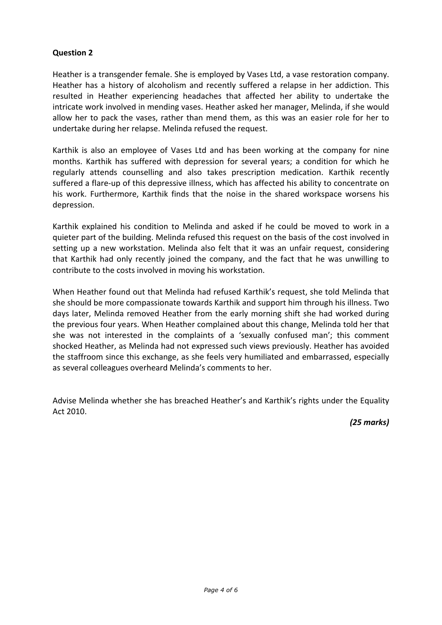# **Question 2**

Heather is a transgender female. She is employed by Vases Ltd, a vase restoration company. Heather has a history of alcoholism and recently suffered a relapse in her addiction. This resulted in Heather experiencing headaches that affected her ability to undertake the intricate work involved in mending vases. Heather asked her manager, Melinda, if she would allow her to pack the vases, rather than mend them, as this was an easier role for her to undertake during her relapse. Melinda refused the request.

Karthik is also an employee of Vases Ltd and has been working at the company for nine months. Karthik has suffered with depression for several years; a condition for which he regularly attends counselling and also takes prescription medication. Karthik recently suffered a flare-up of this depressive illness, which has affected his ability to concentrate on his work. Furthermore, Karthik finds that the noise in the shared workspace worsens his depression.

Karthik explained his condition to Melinda and asked if he could be moved to work in a quieter part of the building. Melinda refused this request on the basis of the cost involved in setting up a new workstation. Melinda also felt that it was an unfair request, considering that Karthik had only recently joined the company, and the fact that he was unwilling to contribute to the costs involved in moving his workstation.

When Heather found out that Melinda had refused Karthik's request, she told Melinda that she should be more compassionate towards Karthik and support him through his illness. Two days later, Melinda removed Heather from the early morning shift she had worked during the previous four years. When Heather complained about this change, Melinda told her that she was not interested in the complaints of a 'sexually confused man'; this comment shocked Heather, as Melinda had not expressed such views previously. Heather has avoided the staffroom since this exchange, as she feels very humiliated and embarrassed, especially as several colleagues overheard Melinda's comments to her.

Advise Melinda whether she has breached Heather's and Karthik's rights under the Equality Act 2010.

*(25 marks)*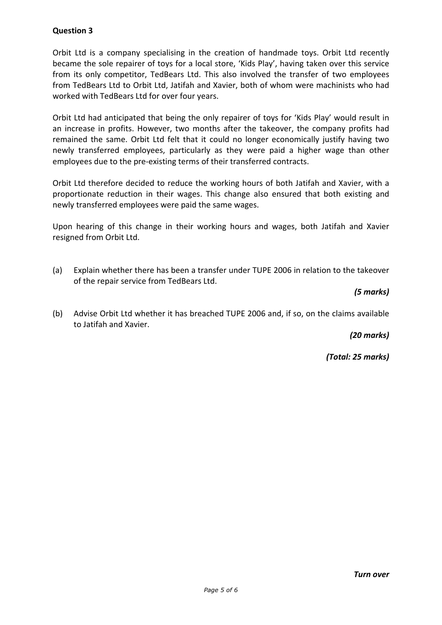# **Question 3**

Orbit Ltd is a company specialising in the creation of handmade toys. Orbit Ltd recently became the sole repairer of toys for a local store, 'Kids Play', having taken over this service from its only competitor, TedBears Ltd. This also involved the transfer of two employees from TedBears Ltd to Orbit Ltd, Jatifah and Xavier, both of whom were machinists who had worked with TedBears Ltd for over four years.

Orbit Ltd had anticipated that being the only repairer of toys for 'Kids Play' would result in an increase in profits. However, two months after the takeover, the company profits had remained the same. Orbit Ltd felt that it could no longer economically justify having two newly transferred employees, particularly as they were paid a higher wage than other employees due to the pre-existing terms of their transferred contracts.

Orbit Ltd therefore decided to reduce the working hours of both Jatifah and Xavier, with a proportionate reduction in their wages. This change also ensured that both existing and newly transferred employees were paid the same wages.

Upon hearing of this change in their working hours and wages, both Jatifah and Xavier resigned from Orbit Ltd.

(a) Explain whether there has been a transfer under TUPE 2006 in relation to the takeover of the repair service from TedBears Ltd.

## *(5 marks)*

(b) Advise Orbit Ltd whether it has breached TUPE 2006 and, if so, on the claims available to Jatifah and Xavier.

*(20 marks)*

*(Total: 25 marks)*